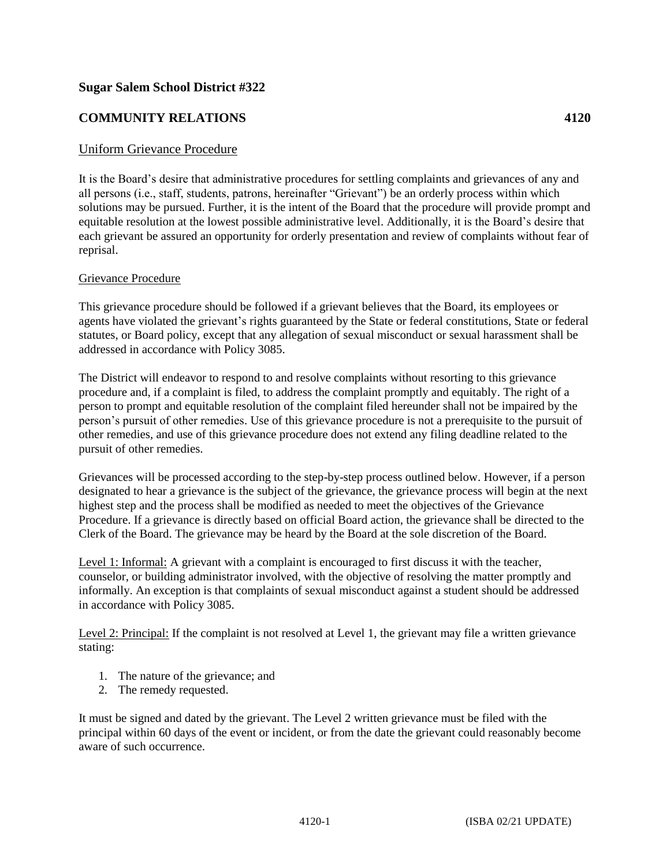## **Sugar Salem School District #322**

## **COMMUNITY RELATIONS 4120**

## Uniform Grievance Procedure

It is the Board's desire that administrative procedures for settling complaints and grievances of any and all persons (i.e., staff, students, patrons, hereinafter "Grievant") be an orderly process within which solutions may be pursued. Further, it is the intent of the Board that the procedure will provide prompt and equitable resolution at the lowest possible administrative level. Additionally, it is the Board's desire that each grievant be assured an opportunity for orderly presentation and review of complaints without fear of reprisal.

## Grievance Procedure

This grievance procedure should be followed if a grievant believes that the Board, its employees or agents have violated the grievant's rights guaranteed by the State or federal constitutions, State or federal statutes, or Board policy, except that any allegation of sexual misconduct or sexual harassment shall be addressed in accordance with Policy 3085.

The District will endeavor to respond to and resolve complaints without resorting to this grievance procedure and, if a complaint is filed, to address the complaint promptly and equitably. The right of a person to prompt and equitable resolution of the complaint filed hereunder shall not be impaired by the person's pursuit of other remedies. Use of this grievance procedure is not a prerequisite to the pursuit of other remedies, and use of this grievance procedure does not extend any filing deadline related to the pursuit of other remedies.

Grievances will be processed according to the step-by-step process outlined below. However, if a person designated to hear a grievance is the subject of the grievance, the grievance process will begin at the next highest step and the process shall be modified as needed to meet the objectives of the Grievance Procedure. If a grievance is directly based on official Board action, the grievance shall be directed to the Clerk of the Board. The grievance may be heard by the Board at the sole discretion of the Board.

Level 1: Informal: A grievant with a complaint is encouraged to first discuss it with the teacher, counselor, or building administrator involved, with the objective of resolving the matter promptly and informally. An exception is that complaints of sexual misconduct against a student should be addressed in accordance with Policy 3085.

Level 2: Principal: If the complaint is not resolved at Level 1, the grievant may file a written grievance stating:

- 1. The nature of the grievance; and
- 2. The remedy requested.

It must be signed and dated by the grievant. The Level 2 written grievance must be filed with the principal within 60 days of the event or incident, or from the date the grievant could reasonably become aware of such occurrence.